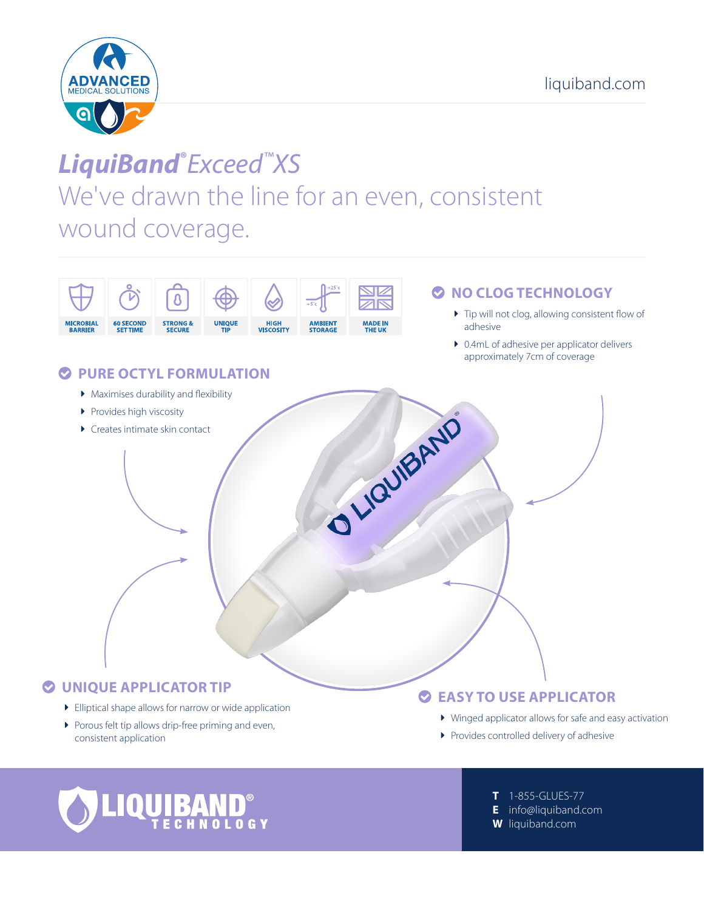

# LiquiBand®Exceed™XS We've drawn the line for an even, consistent wound coverage.





T 1-855-GLUES-77 E info@liquiband.com

**W** liquiband.com